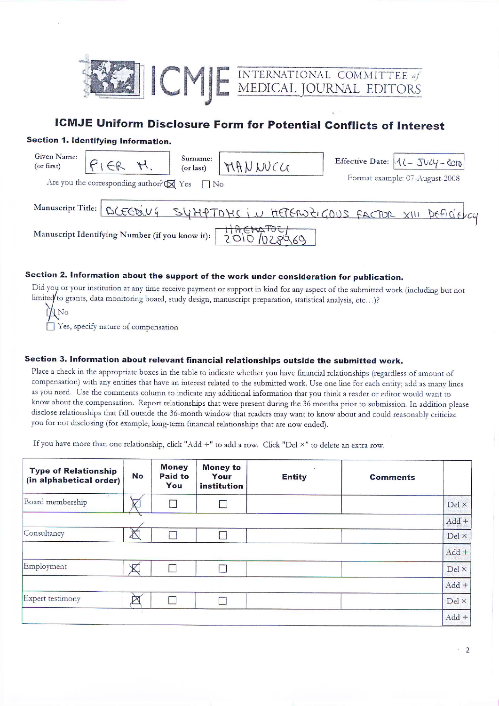

# **ICMJE Uniform Disclosure Form for Potential Conflicts of Interest**

### Section 1. Identifying Information.

| Given Name:<br>(or first)                       |                                                                | Surname:<br>(or last) | MANWCG |  | Effective Date: 112 - JULY - COID                                          |
|-------------------------------------------------|----------------------------------------------------------------|-----------------------|--------|--|----------------------------------------------------------------------------|
|                                                 | Are you the corresponding author? $\boldsymbol{\boxtimes}$ Yes | $\n  No\n$            |        |  | Format example: 07-August-2008                                             |
|                                                 |                                                                |                       |        |  | Manuscript Title: BCEEDING SYMPTOMS IN HETERORIGOUS FACTOR XIII DEFICIENCY |
| Manuscript Identifying Number (if you know it): |                                                                |                       |        |  |                                                                            |

## Section 2. Information about the support of the work under consideration for publication.

Did you or your institution at any time receive payment or support in kind for any aspect of the submitted work (including but not limited to grants, data monitoring board, study design, manuscript preparation, statistical analysis, etc...)?

| H No                                |  |  |  |
|-------------------------------------|--|--|--|
| Yes, specify nature of compensation |  |  |  |

### Section 3. Information about relevant financial relationships outside the submitted work.

Place a check in the appropriate boxes in the table to indicate whether you have financial relationships (regardless of amount of compensation) with any entities that have an interest related to the submitted work. Use one line for each entity; add as many lines as you need. Use the comments column to indicate any additional information that you think a reader or editor would want to know about the compensation. Report relationships that were present during the 36 months prior to submission. In addition please disclose relationships that fall outside the 36-month window that readers may want to know about and could reasonably criticize you for not disclosing (for example, long-term financial relationships that are now ended).

If you have more than one relationship, click "Add +" to add a row. Click "Del ×" to delete an extra row.

| <b>Type of Relationship</b><br>(in alphabetical order) | No                      | <b>Money</b><br><b>Paid to</b><br>You | <b>Money to</b><br>Your<br>institution | <b>Entity</b> | <b>Comments</b> |              |
|--------------------------------------------------------|-------------------------|---------------------------------------|----------------------------------------|---------------|-----------------|--------------|
| Board membership                                       | $\overline{\mathsf{v}}$ |                                       |                                        |               |                 | $Del \times$ |
|                                                        |                         |                                       |                                        |               |                 | $Add +$      |
| Consultancy                                            | A                       |                                       |                                        |               |                 | Del ×        |
|                                                        |                         |                                       |                                        |               |                 | $Add +$      |
| Employment                                             | $\mathbb{X}$            |                                       |                                        |               |                 | Del ×        |
|                                                        |                         |                                       |                                        |               |                 | $Add +$      |
| Expert testimony                                       | ГX                      |                                       |                                        |               |                 | $Del \times$ |
|                                                        |                         |                                       |                                        |               |                 | $Add +$      |

 $\cdot$  2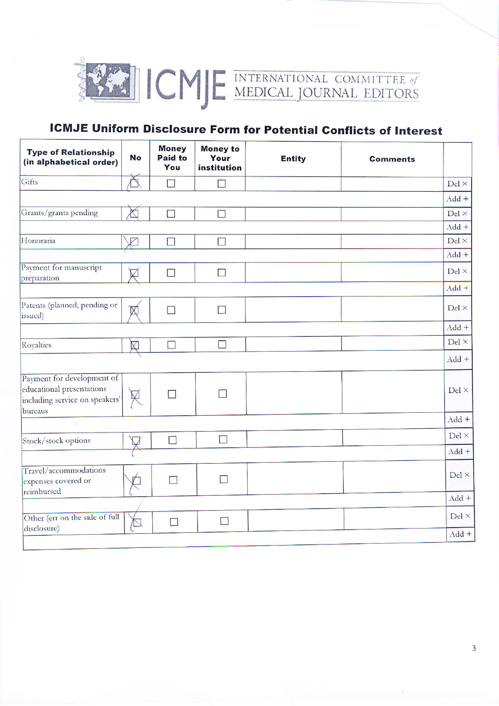

# **ICMJE Uniform Disclosure Form for Potential Conflicts of Interest**

| <b>Type of Relationship</b><br>(in alphabetical order)                                               | <b>No</b>   | <b>Money</b><br><b>Paid to</b><br>You | <b>Money to</b><br>Your<br>institution | <b>Entity</b> | <b>Comments</b> |                       |
|------------------------------------------------------------------------------------------------------|-------------|---------------------------------------|----------------------------------------|---------------|-----------------|-----------------------|
| Gifts                                                                                                | N           | n                                     | $\overline{\phantom{a}}$               |               |                 | $Del \times$          |
|                                                                                                      |             |                                       |                                        |               |                 | $Add +$               |
| Grants/grants pending                                                                                | $\bigtimes$ |                                       | $\Box$                                 |               |                 | $Del \times$          |
|                                                                                                      |             |                                       |                                        |               |                 | $Add +$               |
| Honoraria                                                                                            | $\boxtimes$ | $\Box$                                | $\Box$                                 |               |                 | $Del \times$          |
|                                                                                                      |             |                                       |                                        |               |                 | $Add +$               |
| Payment for manuscript<br>preparation                                                                | $\boxtimes$ | $\Box$                                | <b>COL</b>                             |               |                 | $Del \times$          |
|                                                                                                      |             |                                       |                                        |               |                 | $Add +$               |
| Patents (planned, pending or<br>issued)                                                              | $\mathbb X$ | $\overline{\phantom{a}}$              |                                        |               |                 | Del ×                 |
|                                                                                                      |             |                                       |                                        |               |                 | $Add +$               |
| Royalties                                                                                            | K)          |                                       | <b>College</b>                         |               |                 | $\rm{Del} \, \times$  |
|                                                                                                      |             |                                       |                                        |               |                 | $Add +$               |
| Payment for development of<br>educational presentations<br>including service on speakers'<br>bureaus |             | n                                     |                                        |               |                 | $Del \times$          |
|                                                                                                      |             |                                       |                                        |               |                 | $Add +$               |
| Stock/stock options                                                                                  |             |                                       |                                        |               |                 | $\mathrm{Del} \times$ |
|                                                                                                      |             |                                       |                                        |               |                 | $Add +$               |
| Travel/accommodations<br>expenses covered or<br>reimbursed                                           |             | n                                     |                                        |               |                 | $Del \times$          |
|                                                                                                      |             |                                       |                                        |               |                 | $Add +$               |
| Other (err on the side of full<br>disclosure)                                                        | $\sum$      | $\Box$                                | $\Box$                                 |               |                 | Del ×                 |
|                                                                                                      |             |                                       |                                        |               |                 | $Add +$               |